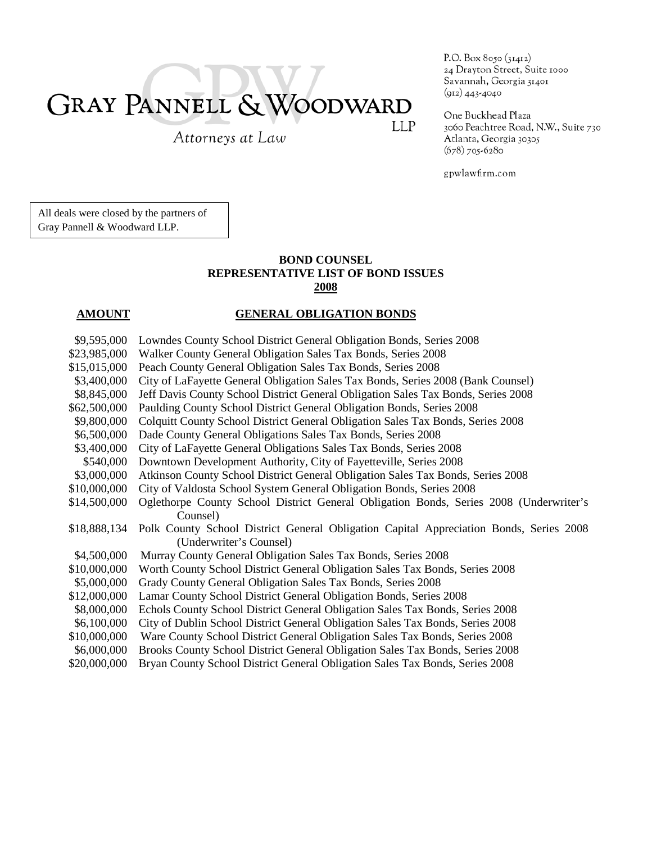# GRAY PANNELL & WOODWARD LLP

Attorneys at Law

P.O. Box 8050 (31412) 24 Drayton Street, Suite 1000 Savannah, Georgia 31401  $(912)$  443-4040

One Buckhead Plaza 3060 Peachtree Road, N.W., Suite 730 Atlanta, Georgia 30305  $(678)$  705-6280

gpwlawfirm.com

All deals were closed by the partners of Gray Pannell & Woodward LLP.

### **BOND COUNSEL REPRESENTATIVE LIST OF BOND ISSUES 2008**

### **AMOUNT GENERAL OBLIGATION BONDS**

| \$9,595,000  | Lowndes County School District General Obligation Bonds, Series 2008                   |
|--------------|----------------------------------------------------------------------------------------|
| \$23,985,000 | Walker County General Obligation Sales Tax Bonds, Series 2008                          |
| \$15,015,000 | Peach County General Obligation Sales Tax Bonds, Series 2008                           |
| \$3,400,000  | City of LaFayette General Obligation Sales Tax Bonds, Series 2008 (Bank Counsel)       |
| \$8,845,000  | Jeff Davis County School District General Obligation Sales Tax Bonds, Series 2008      |
| \$62,500,000 | Paulding County School District General Obligation Bonds, Series 2008                  |
| \$9,800,000  | Colquitt County School District General Obligation Sales Tax Bonds, Series 2008        |
| \$6,500,000  | Dade County General Obligations Sales Tax Bonds, Series 2008                           |
| \$3,400,000  | City of LaFayette General Obligations Sales Tax Bonds, Series 2008                     |
| \$540,000    | Downtown Development Authority, City of Fayetteville, Series 2008                      |
| \$3,000,000  | Atkinson County School District General Obligation Sales Tax Bonds, Series 2008        |
| \$10,000,000 | City of Valdosta School System General Obligation Bonds, Series 2008                   |
| \$14,500,000 | Oglethorpe County School District General Obligation Bonds, Series 2008 (Underwriter's |
|              | Counsel)                                                                               |
| \$18,888,134 | Polk County School District General Obligation Capital Appreciation Bonds, Series 2008 |
|              | (Underwriter's Counsel)                                                                |
| \$4,500,000  | Murray County General Obligation Sales Tax Bonds, Series 2008                          |
| \$10,000,000 | Worth County School District General Obligation Sales Tax Bonds, Series 2008           |
| \$5,000,000  | Grady County General Obligation Sales Tax Bonds, Series 2008                           |
| \$12,000,000 | Lamar County School District General Obligation Bonds, Series 2008                     |
| \$8,000,000  | Echols County School District General Obligation Sales Tax Bonds, Series 2008          |
| \$6,100,000  | City of Dublin School District General Obligation Sales Tax Bonds, Series 2008         |
| \$10,000,000 | Ware County School District General Obligation Sales Tax Bonds, Series 2008            |
| \$6,000,000  | Brooks County School District General Obligation Sales Tax Bonds, Series 2008          |
| \$20,000,000 | Bryan County School District General Obligation Sales Tax Bonds, Series 2008           |
|              |                                                                                        |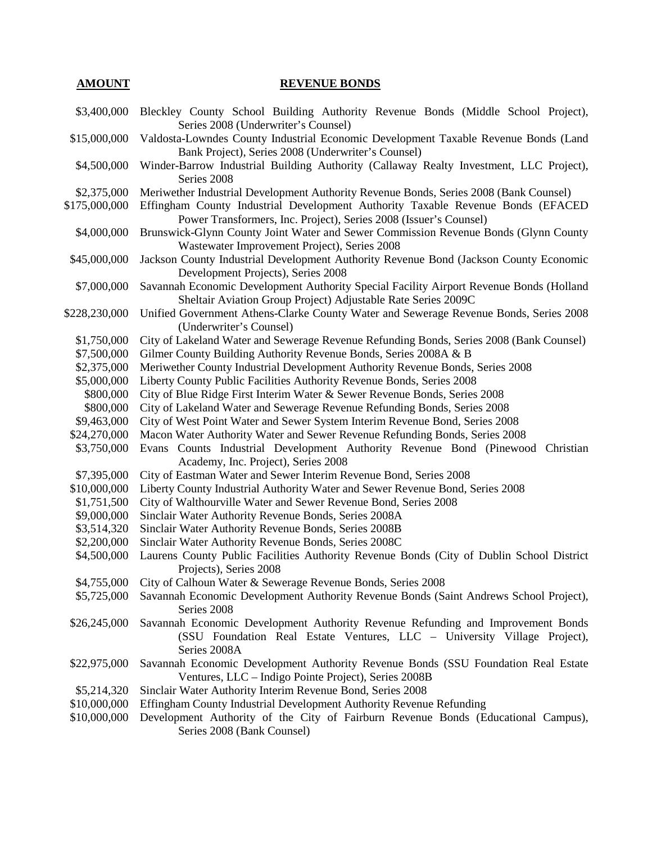## **AMOUNT** REVENUE BONDS

| \$3,400,000                 | Bleckley County School Building Authority Revenue Bonds (Middle School Project),                                                  |
|-----------------------------|-----------------------------------------------------------------------------------------------------------------------------------|
|                             | Series 2008 (Underwriter's Counsel)                                                                                               |
| \$15,000,000                | Valdosta-Lowndes County Industrial Economic Development Taxable Revenue Bonds (Land                                               |
|                             | Bank Project), Series 2008 (Underwriter's Counsel)                                                                                |
| \$4,500,000                 | Winder-Barrow Industrial Building Authority (Callaway Realty Investment, LLC Project),                                            |
|                             | Series 2008                                                                                                                       |
| \$2,375,000                 | Meriwether Industrial Development Authority Revenue Bonds, Series 2008 (Bank Counsel)                                             |
| \$175,000,000               | Effingham County Industrial Development Authority Taxable Revenue Bonds (EFACED)                                                  |
|                             | Power Transformers, Inc. Project), Series 2008 (Issuer's Counsel)                                                                 |
| \$4,000,000                 | Brunswick-Glynn County Joint Water and Sewer Commission Revenue Bonds (Glynn County                                               |
|                             | Wastewater Improvement Project), Series 2008                                                                                      |
| \$45,000,000                | Jackson County Industrial Development Authority Revenue Bond (Jackson County Economic                                             |
|                             | Development Projects), Series 2008                                                                                                |
| \$7,000,000                 | Savannah Economic Development Authority Special Facility Airport Revenue Bonds (Holland                                           |
|                             | Sheltair Aviation Group Project) Adjustable Rate Series 2009C                                                                     |
| \$228,230,000               | Unified Government Athens-Clarke County Water and Sewerage Revenue Bonds, Series 2008<br>(Underwriter's Counsel)                  |
| \$1,750,000                 | City of Lakeland Water and Sewerage Revenue Refunding Bonds, Series 2008 (Bank Counsel)                                           |
| \$7,500,000                 | Gilmer County Building Authority Revenue Bonds, Series 2008A & B                                                                  |
| \$2,375,000                 | Meriwether County Industrial Development Authority Revenue Bonds, Series 2008                                                     |
| \$5,000,000                 | Liberty County Public Facilities Authority Revenue Bonds, Series 2008                                                             |
| \$800,000                   | City of Blue Ridge First Interim Water & Sewer Revenue Bonds, Series 2008                                                         |
| \$800,000                   | City of Lakeland Water and Sewerage Revenue Refunding Bonds, Series 2008                                                          |
| \$9,463,000                 | City of West Point Water and Sewer System Interim Revenue Bond, Series 2008                                                       |
| \$24,270,000                | Macon Water Authority Water and Sewer Revenue Refunding Bonds, Series 2008                                                        |
| \$3,750,000                 | Evans Counts Industrial Development Authority Revenue Bond (Pinewood Christian                                                    |
|                             | Academy, Inc. Project), Series 2008                                                                                               |
| \$7,395,000                 | City of Eastman Water and Sewer Interim Revenue Bond, Series 2008                                                                 |
| \$10,000,000                | Liberty County Industrial Authority Water and Sewer Revenue Bond, Series 2008                                                     |
| \$1,751,500                 | City of Walthourville Water and Sewer Revenue Bond, Series 2008                                                                   |
| \$9,000,000                 | Sinclair Water Authority Revenue Bonds, Series 2008A                                                                              |
| \$3,514,320                 | Sinclair Water Authority Revenue Bonds, Series 2008B                                                                              |
| \$2,200,000                 | Sinclair Water Authority Revenue Bonds, Series 2008C                                                                              |
| \$4,500,000                 | Laurens County Public Facilities Authority Revenue Bonds (City of Dublin School District                                          |
|                             | Projects), Series 2008                                                                                                            |
|                             | \$4,755,000 City of Calhoun Water & Sewerage Revenue Bonds, Series 2008                                                           |
| \$5,725,000                 | Savannah Economic Development Authority Revenue Bonds (Saint Andrews School Project),                                             |
|                             | Series 2008                                                                                                                       |
| \$26,245,000                | Savannah Economic Development Authority Revenue Refunding and Improvement Bonds                                                   |
|                             | (SSU Foundation Real Estate Ventures, LLC – University Village Project),                                                          |
|                             | Series 2008A                                                                                                                      |
| \$22,975,000                | Savannah Economic Development Authority Revenue Bonds (SSU Foundation Real Estate                                                 |
|                             | Ventures, LLC – Indigo Pointe Project), Series 2008B                                                                              |
| \$5,214,320<br>\$10,000,000 | Sinclair Water Authority Interim Revenue Bond, Series 2008<br>Effingham County Industrial Development Authority Revenue Refunding |
| \$10,000,000                |                                                                                                                                   |
|                             | Development Authority of the City of Fairburn Revenue Bonds (Educational Campus),<br>Series 2008 (Bank Counsel)                   |